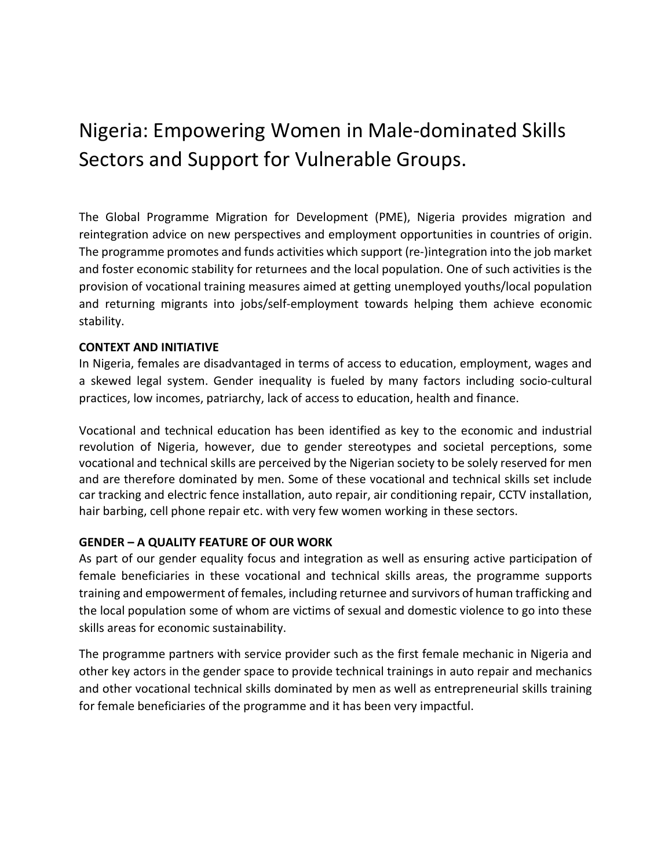## Nigeria: Empowering Women in Male-dominated Skills Sectors and Support for Vulnerable Groups.

The Global Programme Migration for Development (PME), Nigeria provides migration and reintegration advice on new perspectives and employment opportunities in countries of origin. The programme promotes and funds activities which support (re-)integration into the job market and foster economic stability for returnees and the local population. One of such activities is the provision of vocational training measures aimed at getting unemployed youths/local population and returning migrants into jobs/self-employment towards helping them achieve economic stability.

## CONTEXT AND INITIATIVE

In Nigeria, females are disadvantaged in terms of access to education, employment, wages and a skewed legal system. Gender inequality is fueled by many factors including socio-cultural practices, low incomes, patriarchy, lack of access to education, health and finance.

Vocational and technical education has been identified as key to the economic and industrial revolution of Nigeria, however, due to gender stereotypes and societal perceptions, some vocational and technical skills are perceived by the Nigerian society to be solely reserved for men and are therefore dominated by men. Some of these vocational and technical skills set include car tracking and electric fence installation, auto repair, air conditioning repair, CCTV installation, hair barbing, cell phone repair etc. with very few women working in these sectors.

## GENDER – A QUALITY FEATURE OF OUR WORK

As part of our gender equality focus and integration as well as ensuring active participation of female beneficiaries in these vocational and technical skills areas, the programme supports training and empowerment of females, including returnee and survivors of human trafficking and the local population some of whom are victims of sexual and domestic violence to go into these skills areas for economic sustainability.

The programme partners with service provider such as the first female mechanic in Nigeria and other key actors in the gender space to provide technical trainings in auto repair and mechanics and other vocational technical skills dominated by men as well as entrepreneurial skills training for female beneficiaries of the programme and it has been very impactful.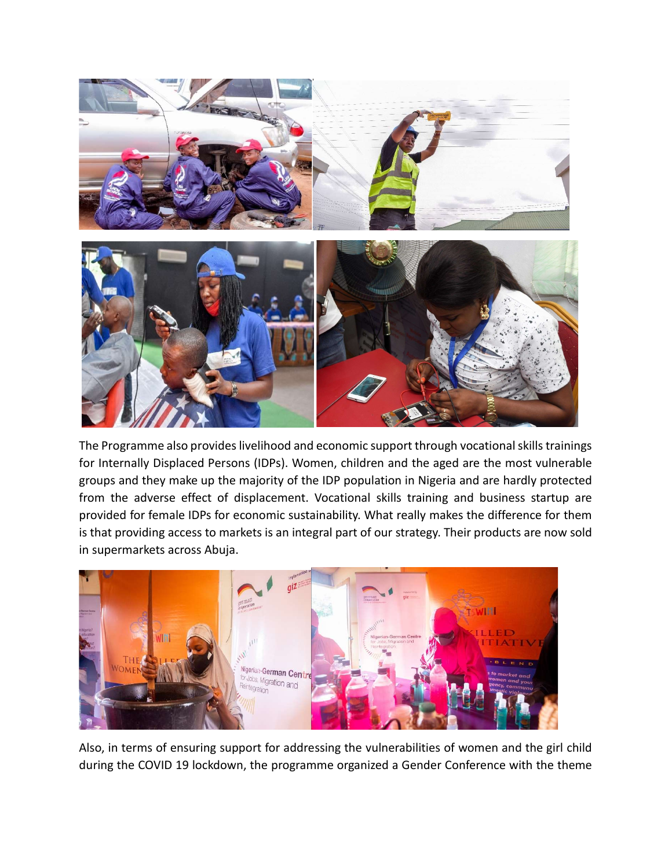

The Programme also provides livelihood and economic support through vocational skills trainings for Internally Displaced Persons (IDPs). Women, children and the aged are the most vulnerable groups and they make up the majority of the IDP population in Nigeria and are hardly protected from the adverse effect of displacement. Vocational skills training and business startup are provided for female IDPs for economic sustainability. What really makes the difference for them is that providing access to markets is an integral part of our strategy. Their products are now sold in supermarkets across Abuja.



Also, in terms of ensuring support for addressing the vulnerabilities of women and the girl child during the COVID 19 lockdown, the programme organized a Gender Conference with the theme